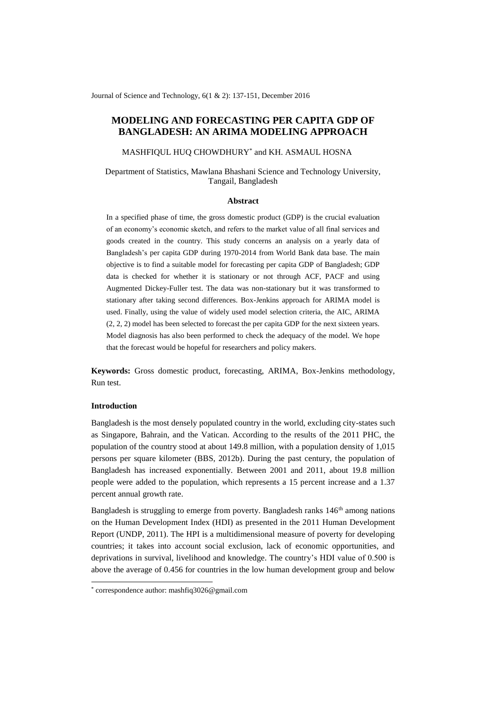Journal of Science and Technology, 6(1 & 2): 137-151, December 2016

# **MODELING AND FORECASTING PER CAPITA GDP OF BANGLADESH: AN ARIMA MODELING APPROACH**

MASHFIQUL HUQ CHOWDHURY\* and KH. ASMAUL HOSNA

Department of Statistics, Mawlana Bhashani Science and Technology University, Tangail, Bangladesh

#### **Abstract**

In a specified phase of time, the gross domestic product (GDP) is the crucial evaluation of an economy's economic sketch, and refers to the market value of all final services and goods created in the country. This study concerns an analysis on a yearly data of Bangladesh's per capita GDP during 1970-2014 from World Bank data base. The main objective is to find a suitable model for forecasting per capita GDP of Bangladesh; GDP data is checked for whether it is stationary or not through ACF, PACF and using Augmented Dickey-Fuller test. The data was non-stationary but it was transformed to stationary after taking second differences. Box-Jenkins approach for ARIMA model is used. Finally, using the value of widely used model selection criteria, the AIC, ARIMA (2, 2, 2) model has been selected to forecast the per capita GDP for the next sixteen years. Model diagnosis has also been performed to check the adequacy of the model. We hope that the forecast would be hopeful for researchers and policy makers.

**Keywords:** Gross domestic product, forecasting, ARIMA, Box-Jenkins methodology, Run test.

#### **Introduction**

1

Bangladesh is the most densely populated country in the world, excluding city-states such as Singapore, Bahrain, and the Vatican. According to the results of the 2011 PHC, the population of the country stood at about 149.8 million, with a population density of 1,015 persons per square kilometer (BBS, 2012b). During the past century, the population of Bangladesh has increased exponentially. Between 2001 and 2011, about 19.8 million people were added to the population, which represents a 15 percent increase and a 1.37 percent annual growth rate.

Bangladesh is struggling to emerge from poverty. Bangladesh ranks  $146<sup>th</sup>$  among nations on the Human Development Index (HDI) as presented in the 2011 Human Development Report (UNDP, 2011). The HPI is a multidimensional measure of poverty for developing countries; it takes into account social exclusion, lack of economic opportunities, and deprivations in survival, livelihood and knowledge. The country's HDI value of 0.500 is above the average of 0.456 for countries in the low human development group and below

<sup>\*</sup> correspondence author[: mashfiq3026@gmail.com](mailto:mashfiq3026@gmail.com)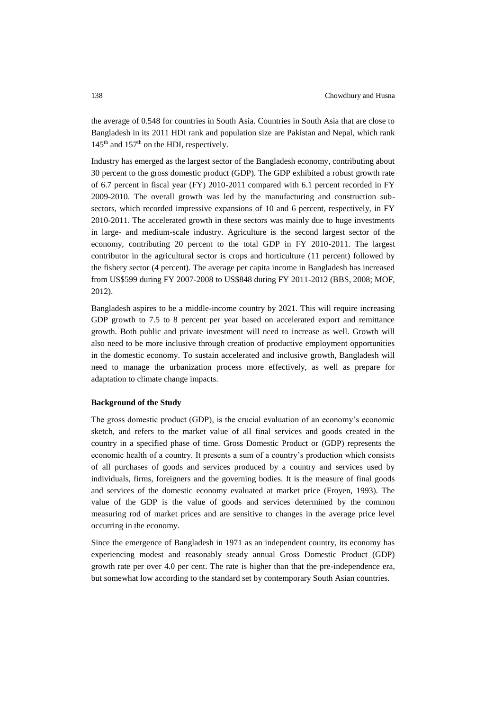the average of 0.548 for countries in South Asia. Countries in South Asia that are close to Bangladesh in its 2011 HDI rank and population size are Pakistan and Nepal, which rank  $145<sup>th</sup>$  and  $157<sup>th</sup>$  on the HDI, respectively.

Industry has emerged as the largest sector of the Bangladesh economy, contributing about 30 percent to the gross domestic product (GDP). The GDP exhibited a robust growth rate of 6.7 percent in fiscal year (FY) 2010-2011 compared with 6.1 percent recorded in FY 2009-2010. The overall growth was led by the manufacturing and construction subsectors, which recorded impressive expansions of 10 and 6 percent, respectively, in FY 2010-2011. The accelerated growth in these sectors was mainly due to huge investments in large- and medium-scale industry. Agriculture is the second largest sector of the economy, contributing 20 percent to the total GDP in FY 2010-2011. The largest contributor in the agricultural sector is crops and horticulture (11 percent) followed by the fishery sector (4 percent). The average per capita income in Bangladesh has increased from US\$599 during FY 2007-2008 to US\$848 during FY 2011-2012 (BBS, 2008; MOF, 2012).

Bangladesh aspires to be a middle-income country by 2021. This will require increasing GDP growth to 7.5 to 8 percent per year based on accelerated export and remittance growth. Both public and private investment will need to increase as well. Growth will also need to be more inclusive through creation of productive employment opportunities in the domestic economy. To sustain accelerated and inclusive growth, Bangladesh will need to manage the urbanization process more effectively, as well as prepare for adaptation to climate change impacts.

## **Background of the Study**

The gross domestic product (GDP), is the crucial evaluation of an economy's economic sketch, and refers to the market value of all final services and goods created in the country in a specified phase of time. Gross Domestic Product or (GDP) represents the economic health of a country. It presents a sum of a country's production which consists of all purchases of goods and services produced by a country and services used by individuals, firms, foreigners and the governing bodies. It is the measure of final goods and services of the domestic economy evaluated at market price (Froyen, 1993). The value of the GDP is the value of goods and services determined by the common measuring rod of market prices and are sensitive to changes in the average price level occurring in the economy.

Since the emergence of Bangladesh in 1971 as an independent country, its economy has experiencing modest and reasonably steady annual Gross Domestic Product (GDP) growth rate per over 4.0 per cent. The rate is higher than that the pre-independence era, but somewhat low according to the standard set by contemporary South Asian countries.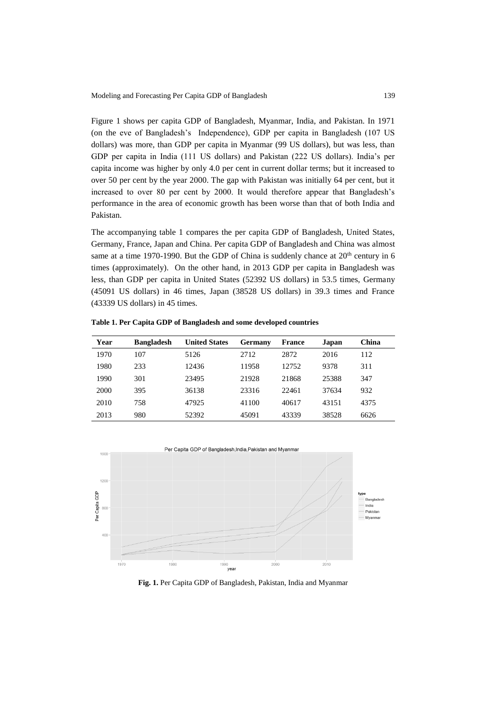Figure 1 shows per capita GDP of Bangladesh, Myanmar, India, and Pakistan. In 1971 (on the eve of Bangladesh's Independence), GDP per capita in Bangladesh (107 US dollars) was more, than GDP per capita in Myanmar (99 US dollars), but was less, than GDP per capita in India (111 US dollars) and Pakistan (222 US dollars). India's per capita income was higher by only 4.0 per cent in current dollar terms; but it increased to over 50 per cent by the year 2000. The gap with Pakistan was initially 64 per cent, but it increased to over 80 per cent by 2000. It would therefore appear that Bangladesh's performance in the area of economic growth has been worse than that of both India and Pakistan.

The accompanying table 1 compares the per capita GDP of Bangladesh, United States, Germany, France, Japan and China. Per capita GDP of Bangladesh and China was almost same at a time 1970-1990. But the GDP of China is suddenly chance at  $20<sup>th</sup>$  century in 6 times (approximately). On the other hand, in 2013 GDP per capita in Bangladesh was less, than GDP per capita in United States (52392 US dollars) in 53.5 times, Germany (45091 US dollars) in 46 times, Japan (38528 US dollars) in 39.3 times and France (43339 US dollars) in 45 times.

| Year | <b>Bangladesh</b> | <b>United States</b> | Germany | <b>France</b> | Japan | China |
|------|-------------------|----------------------|---------|---------------|-------|-------|
| 1970 | 107               | 5126                 | 2712    | 2872          | 2016  | 112   |
| 1980 | 233               | 12436                | 11958   | 12752         | 9378  | 311   |
| 1990 | 301               | 23495                | 21928   | 21868         | 25388 | 347   |
| 2000 | 395               | 36138                | 23316   | 22461         | 37634 | 932   |
| 2010 | 758               | 47925                | 41100   | 40617         | 43151 | 4375  |
| 2013 | 980               | 52392                | 45091   | 43339         | 38528 | 6626  |

**Table 1. Per Capita GDP of Bangladesh and some developed countries**



**Fig. 1.** Per Capita GDP of Bangladesh, Pakistan, India and Myanmar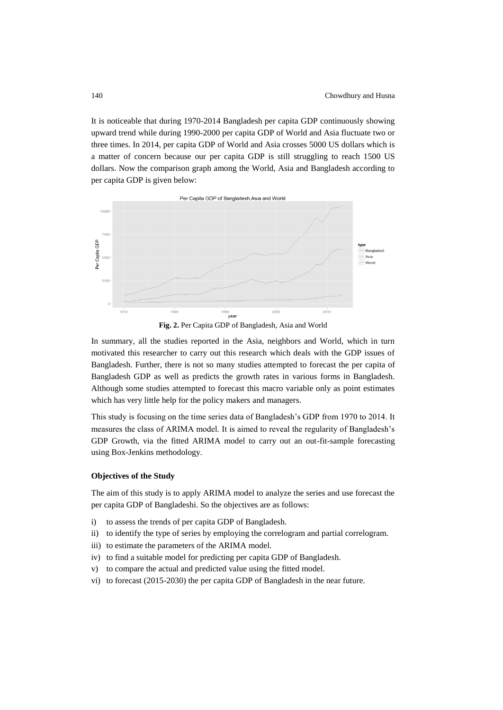It is noticeable that during 1970-2014 Bangladesh per capita GDP continuously showing upward trend while during 1990-2000 per capita GDP of World and Asia fluctuate two or three times. In 2014, per capita GDP of World and Asia crosses 5000 US dollars which is a matter of concern because our per capita GDP is still struggling to reach 1500 US dollars. Now the comparison graph among the World, Asia and Bangladesh according to per capita GDP is given below:



**Fig. 2.** Per Capita GDP of Bangladesh, Asia and World

In summary, all the studies reported in the Asia, neighbors and World, which in turn motivated this researcher to carry out this research which deals with the GDP issues of Bangladesh. Further, there is not so many studies attempted to forecast the per capita of Bangladesh GDP as well as predicts the growth rates in various forms in Bangladesh. Although some studies attempted to forecast this macro variable only as point estimates which has very little help for the policy makers and managers.

This study is focusing on the time series data of Bangladesh's GDP from 1970 to 2014. It measures the class of ARIMA model. It is aimed to reveal the regularity of Bangladesh's GDP Growth, via the fitted ARIMA model to carry out an out-fit-sample forecasting using Box-Jenkins methodology.

## **Objectives of the Study**

The aim of this study is to apply ARIMA model to analyze the series and use forecast the per capita GDP of Bangladeshi. So the objectives are as follows:

- i) to assess the trends of per capita GDP of Bangladesh.
- ii) to identify the type of series by employing the correlogram and partial correlogram.
- iii) to estimate the parameters of the ARIMA model.
- iv) to find a suitable model for predicting per capita GDP of Bangladesh.
- v) to compare the actual and predicted value using the fitted model.
- vi) to forecast (2015-2030) the per capita GDP of Bangladesh in the near future.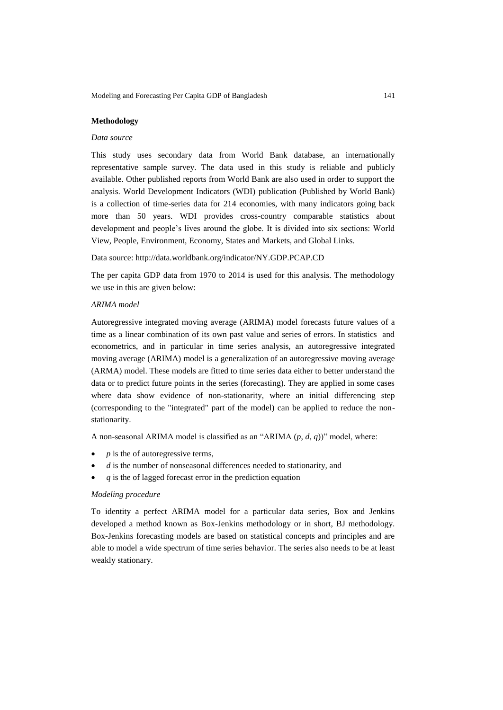Modeling and Forecasting Per Capita GDP of Bangladesh 141

## **Methodology**

### *Data source*

This study uses secondary data from World Bank database, an internationally representative sample survey. The data used in this study is reliable and publicly available. Other published reports from World Bank are also used in order to support the analysis. World Development Indicators (WDI) publication (Published by World Bank) is a collection of time-series data for 214 economies, with many indicators going back more than 50 years. WDI provides cross-country comparable statistics about development and people's lives around the globe. It is divided into six sections: World View, People, Environment, Economy, States and Markets, and Global Links.

Data source: http://data.worldbank.org/indicator/NY.GDP.PCAP.CD

The per capita GDP data from 1970 to 2014 is used for this analysis. The methodology we use in this are given below:

## *ARIMA model*

Autoregressive integrated moving average (ARIMA) model forecasts future values of a time as a linear combination of its own past value and series of errors. In statistics and econometrics, and in particular in time series analysis, an autoregressive integrated moving average (ARIMA) model is a generalization of an autoregressive moving average (ARMA) model. These models are fitted to time series data either to better understand the data or to predict future points in the series (forecasting). They are applied in some cases where data show evidence of non-stationarity, where an initial differencing step (corresponding to the "integrated" part of the model) can be applied to reduce the nonstationarity.

A non-seasonal ARIMA model is classified as an "ARIMA (*p*, *d*, *q*))" model, where:

- *p* is the of autoregressive terms,
- *d* is the number of nonseasonal differences needed to stationarity, and
- *q* is the of lagged forecast error in the prediction equation

### *Modeling procedure*

To identity a perfect ARIMA model for a particular data series, Box and Jenkins developed a method known as Box-Jenkins methodology or in short, BJ methodology. Box-Jenkins forecasting models are based on statistical concepts and principles and are able to model a wide spectrum of time series behavior. The series also needs to be at least weakly stationary.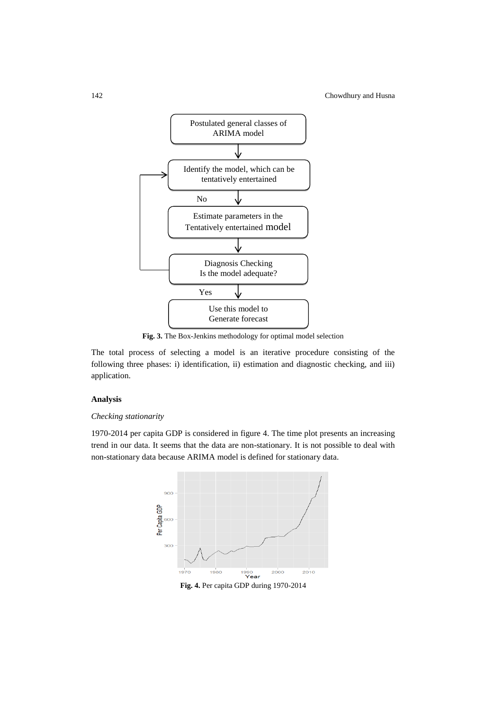

**Fig. 3.** The Box-Jenkins methodology for optimal model selection

The total process of selecting a model is an iterative procedure consisting of the following three phases: i) identification, ii) estimation and diagnostic checking, and iii) application.

### **Analysis**

### *Checking stationarity*

1970-2014 per capita GDP is considered in figure 4. The time plot presents an increasing trend in our data. It seems that the data are non-stationary. It is not possible to deal with non-stationary data because ARIMA model is defined for stationary data.



**Fig. 4.** Per capita GDP during 1970-2014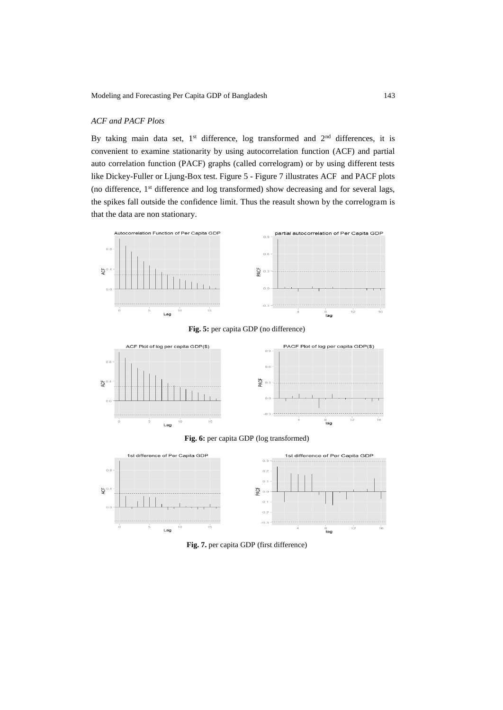## *ACF and PACF Plots*

By taking main data set,  $1<sup>st</sup>$  difference, log transformed and  $2<sup>nd</sup>$  differences, it is convenient to examine stationarity by using autocorrelation function (ACF) and partial auto correlation function (PACF) graphs (called correlogram) or by using different tests like Dickey-Fuller or Ljung-Box test. Figure 5 - Figure 7 illustrates ACF and PACF plots (no difference, 1st difference and log transformed) show decreasing and for several lags, the spikes fall outside the confidence limit. Thus the reasult shown by the correlogram is that the data are non stationary.













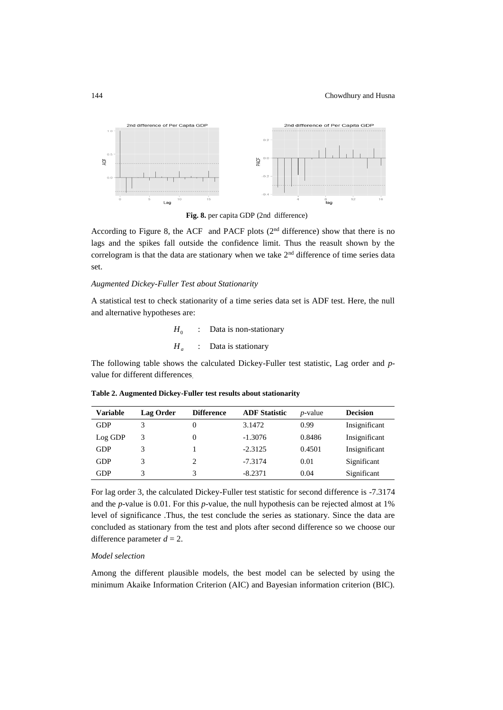

**Fig. 8.** per capita GDP (2nd difference)

According to Figure 8, the ACF and PACF plots (2nd difference) show that there is no lags and the spikes fall outside the confidence limit. Thus the reasult shown by the correlogram is that the data are stationary when we take  $2<sup>nd</sup>$  difference of time series data set.

#### *Augmented Dickey-Fuller Test about Stationarity*

A statistical test to check stationarity of a time series data set is ADF test. Here, the null and alternative hypotheses are:

$$
H_0: Data is non-stationary
$$
  

$$
H_a: Data is stationary
$$

The following table shows the calculated Dickey-Fuller test statistic, Lag order and *p*value for different differences.

| <b>Variable</b> | Lag Order | <b>Difference</b> | <b>ADF</b> Statistic | $p$ -value | <b>Decision</b> |
|-----------------|-----------|-------------------|----------------------|------------|-----------------|
| <b>GDP</b>      |           |                   | 3.1472               | 0.99       | Insignificant   |
| Log GDP         | 3         |                   | $-1.3076$            | 0.8486     | Insignificant   |
| <b>GDP</b>      |           |                   | $-2.3125$            | 0.4501     | Insignificant   |
| <b>GDP</b>      |           | 2                 | $-7.3174$            | 0.01       | Significant     |
| GDP             |           | 3                 | $-8.2371$            | 0.04       | Significant     |

**Table 2. Augmented Dickey-Fuller test results about stationarity**

For lag order 3, the calculated Dickey-Fuller test statistic for second difference is -7.3174 and the *p*-value is 0.01. For this *p*-value, the null hypothesis can be rejected almost at 1% level of significance .Thus, the test conclude the series as stationary. Since the data are concluded as stationary from the test and plots after second difference so we choose our difference parameter  $d = 2$ .

### *Model selection*

Among the different plausible models, the best model can be selected by using the minimum Akaike Information Criterion (AIC) and Bayesian information criterion (BIC).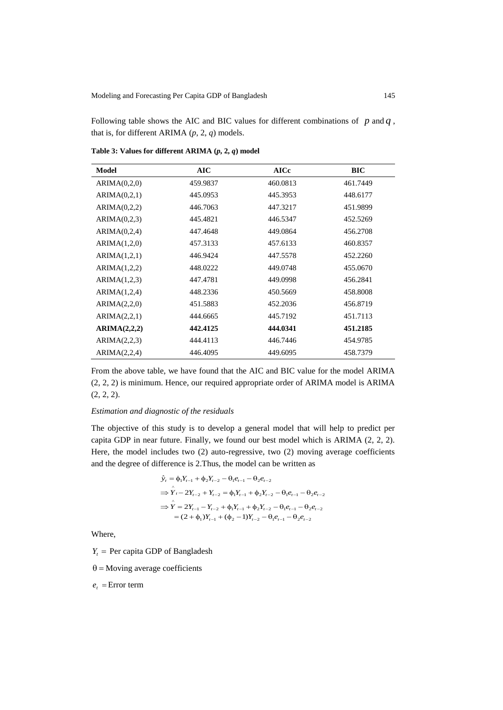Following table shows the AIC and BIC values for different combinations of  $p$  and  $q$ , that is, for different ARIMA (*p*, 2, *q*) models.

| Model        | <b>AIC</b> | <b>AICc</b> | <b>BIC</b> |
|--------------|------------|-------------|------------|
| ARIMA(0,2,0) | 459.9837   | 460.0813    | 461.7449   |
| ARIMA(0,2,1) | 445.0953   | 445.3953    | 448.6177   |
| ARIMA(0,2,2) | 446.7063   | 447.3217    | 451.9899   |
| ARIMA(0,2,3) | 445.4821   | 446.5347    | 452.5269   |
| ARIMA(0,2,4) | 447.4648   | 449.0864    | 456.2708   |
| ARIMA(1,2,0) | 457.3133   | 457.6133    | 460.8357   |
| ARIMA(1,2,1) | 446.9424   | 447.5578    | 452.2260   |
| ARIMA(1,2,2) | 448.0222   | 449.0748    | 455.0670   |
| ARIMA(1,2,3) | 447.4781   | 449.0998    | 456.2841   |
| ARIMA(1,2,4) | 448.2336   | 450.5669    | 458.8008   |
| ARIMA(2,2,0) | 451.5883   | 452.2036    | 456.8719   |
| ARIMA(2,2,1) | 444.6665   | 445.7192    | 451.7113   |
| ARIMA(2,2,2) | 442.4125   | 444.0341    | 451.2185   |
| ARIMA(2,2,3) | 444.4113   | 446.7446    | 454.9785   |
| ARIMA(2,2,4) | 446.4095   | 449.6095    | 458.7379   |

**Table 3: Values for different ARIMA (***p***, 2,** *q***) model**

From the above table, we have found that the AIC and BIC value for the model ARIMA (2, 2, 2) is minimum. Hence, our required appropriate order of ARIMA model is ARIMA  $(2, 2, 2).$ 

## *Estimation and diagnostic of the residuals*

The objective of this study is to develop a general model that will help to predict per capita GDP in near future. Finally, we found our best model which is ARIMA (2, 2, 2). Here, the model includes two (2) auto-regressive, two (2) moving average coefficients and the degree of difference is 2.Thus, the model can be written as

$$
\hat{y}_t = \phi_1 Y_{t-1} + \phi_2 Y_{t-2} - \theta_1 e_{t-1} - \theta_2 e_{t-2}
$$
\n
$$
\Rightarrow \hat{Y}_t - 2Y_{t-2} + Y_{t-2} = \phi_1 Y_{t-1} + \phi_2 Y_{t-2} - \theta_1 e_{t-1} - \theta_2 e_{t-2}
$$
\n
$$
\Rightarrow \hat{Y} = 2Y_{t-1} - Y_{t-2} + \phi_1 Y_{t-1} + \phi_2 Y_{t-2} - \theta_1 e_{t-1} - \theta_2 e_{t-2}
$$
\n
$$
= (2 + \phi_1) Y_{t-1} + (\phi_2 - 1) Y_{t-2} - \theta_1 e_{t-1} - \theta_2 e_{t-2}
$$

Where,

 $Y_t$  = Per capita GDP of Bangladesh

 $\theta$  = Moving average coefficients

 $e_t$  = Error term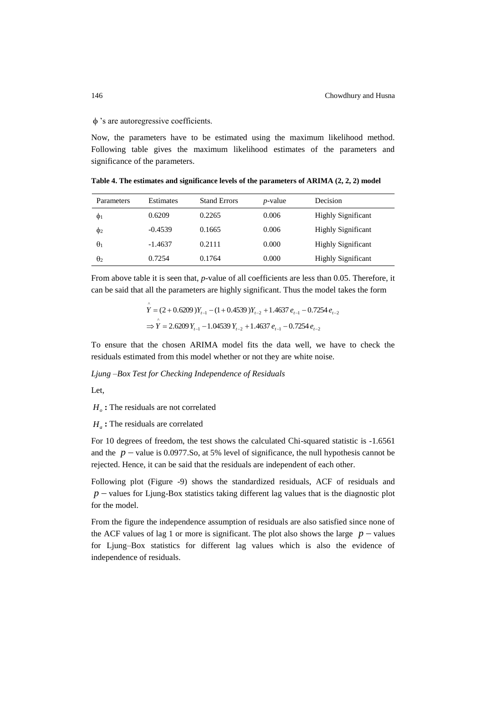### 's are autoregressive coefficients.

Now, the parameters have to be estimated using the maximum likelihood method. Following table gives the maximum likelihood estimates of the parameters and significance of the parameters.

**Table 4. The estimates and significance levels of the parameters of ARIMA (2, 2, 2) model**

| Parameters | <b>Estimates</b> | <b>Stand Errors</b> | <i>p</i> -value | Decision                  |
|------------|------------------|---------------------|-----------------|---------------------------|
| $\Phi$     | 0.6209           | 0.2265              | 0.006           | <b>Highly Significant</b> |
| Φ2         | $-0.4539$        | 0.1665              | 0.006           | <b>Highly Significant</b> |
| $\theta_1$ | $-1.4637$        | 0.2111              | 0.000           | <b>Highly Significant</b> |
| $\theta_2$ | 0.7254           | 0.1764              | 0.000           | <b>Highly Significant</b> |

From above table it is seen that, *p-*value of all coefficients are less than 0.05. Therefore, it can be said that all the parameters are highly significant. Thus the model takes the form

$$
\hat{Y} = (2 + 0.6209)Y_{t-1} - (1 + 0.4539)Y_{t-2} + 1.4637 e_{t-1} - 0.7254 e_{t-2}
$$
  
\n
$$
\Rightarrow \hat{Y} = 2.6209 Y_{t-1} - 1.04539 Y_{t-2} + 1.4637 e_{t-1} - 0.7254 e_{t-2}
$$

To ensure that the chosen ARIMA model fits the data well, we have to check the residuals estimated from this model whether or not they are white noise.

*Ljung –Box Test for Checking Independence of Residuals*

Let,

*H<sup>o</sup>* **:** The residuals are not correlated

*H<sup>a</sup>* **:** The residuals are correlated

For 10 degrees of freedom, the test shows the calculated Chi-squared statistic is -1.6561 and the  $p$  – value is 0.0977.So, at 5% level of significance, the null hypothesis cannot be rejected. Hence, it can be said that the residuals are independent of each other.

Following plot (Figure -9) shows the standardized residuals, ACF of residuals and  $p$  – values for Ljung-Box statistics taking different lag values that is the diagnostic plot for the model.

From the figure the independence assumption of residuals are also satisfied since none of the ACF values of lag 1 or more is significant. The plot also shows the large  $p$  – values for Ljung–Box statistics for different lag values which is also the evidence of independence of residuals.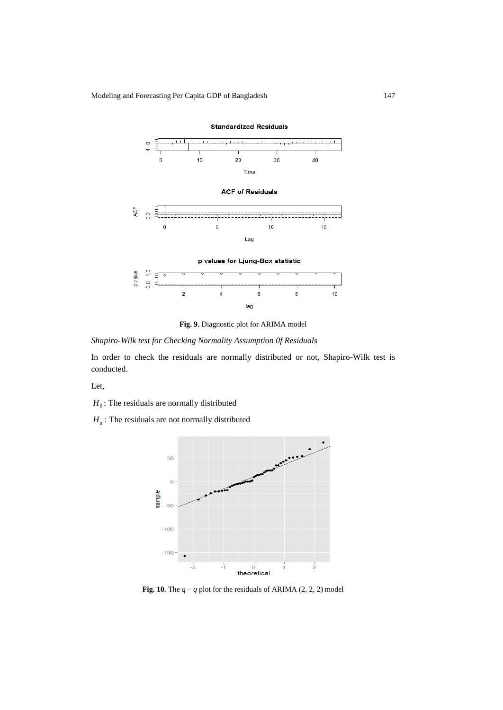Modeling and Forecasting Per Capita GDP of Bangladesh 147



**Fig. 9.** Diagnostic plot for ARIMA model

*Shapiro-Wilk test for Checking Normality Assumption 0f Residuals*

In order to check the residuals are normally distributed or not, Shapiro-Wilk test is conducted.

Let,

- $H_0$ : The residuals are normally distributed
- *H<sup>a</sup>* : The residuals are not normally distributed



**Fig. 10.** The  $q - q$  plot for the residuals of ARIMA (2, 2, 2) model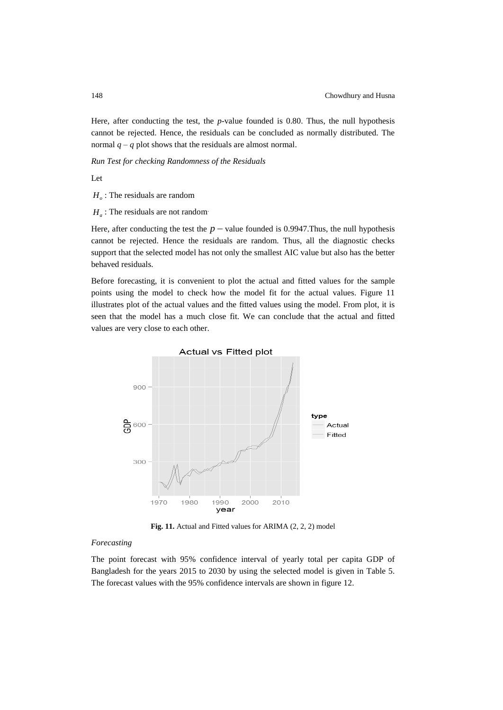Here, after conducting the test, the *p*-value founded is 0.80. Thus, the null hypothesis cannot be rejected. Hence, the residuals can be concluded as normally distributed. The normal  $q - q$  plot shows that the residuals are almost normal.

*Run Test for checking Randomness of the Residuals* 

Let

*H<sup>o</sup>* : The residuals are random

 $H_a$ : The residuals are not random.

Here, after conducting the test the  $p$  – value founded is 0.9947. Thus, the null hypothesis cannot be rejected. Hence the residuals are random. Thus, all the diagnostic checks support that the selected model has not only the smallest AIC value but also has the better behaved residuals.

Before forecasting, it is convenient to plot the actual and fitted values for the sample points using the model to check how the model fit for the actual values. Figure 11 illustrates plot of the actual values and the fitted values using the model. From plot, it is seen that the model has a much close fit. We can conclude that the actual and fitted values are very close to each other.



**Fig. 11.** Actual and Fitted values for ARIMA (2, 2, 2) model

### *Forecasting*

The point forecast with 95% confidence interval of yearly total per capita GDP of Bangladesh for the years 2015 to 2030 by using the selected model is given in Table 5. The forecast values with the 95% confidence intervals are shown in figure 12.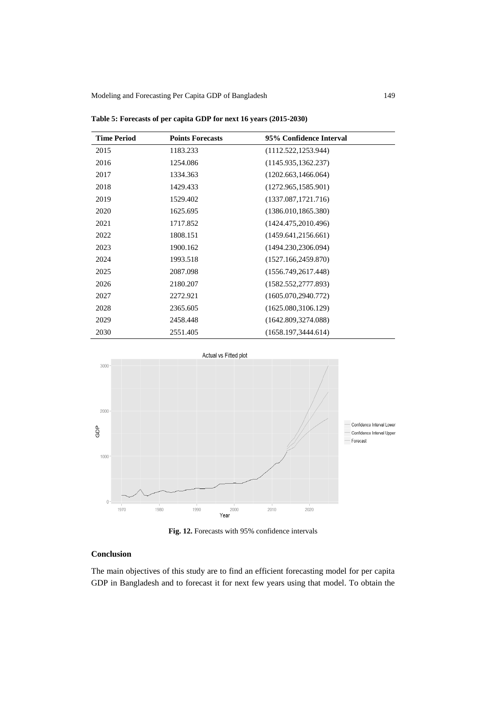| <b>Time Period</b> | <b>Points Forecasts</b> | 95% Confidence Interval |
|--------------------|-------------------------|-------------------------|
| 2015               | 1183.233                | (1112.522, 1253.944)    |
| 2016               | 1254.086                | (1145.935, 1362.237)    |
| 2017               | 1334.363                | (1202.663, 1466.064)    |
| 2018               | 1429.433                | (1272.965, 1585.901)    |
| 2019               | 1529.402                | (1337.087, 1721.716)    |
| 2020               | 1625.695                | (1386.010, 1865.380)    |
| 2021               | 1717.852                | (1424.475, 2010.496)    |
| 2022               | 1808.151                | (1459.641, 2156.661)    |
| 2023               | 1900.162                | (1494.230, 2306.094)    |
| 2024               | 1993.518                | (1527.166, 2459.870)    |
| 2025               | 2087.098                | (1556.749, 2617.448)    |
| 2026               | 2180.207                | (1582.552, 2777.893)    |
| 2027               | 2272.921                | (1605.070, 2940.772)    |
| 2028               | 2365.605                | (1625.080, 3106.129)    |
| 2029               | 2458.448                | (1642.809, 3274.088)    |
| 2030               | 2551.405                | (1658.197, 3444.614)    |

**Table 5: Forecasts of per capita GDP for next 16 years (2015-2030)**



**Fig. 12.** Forecasts with 95% confidence intervals

# **Conclusion**

The main objectives of this study are to find an efficient forecasting model for per capita GDP in Bangladesh and to forecast it for next few years using that model. To obtain the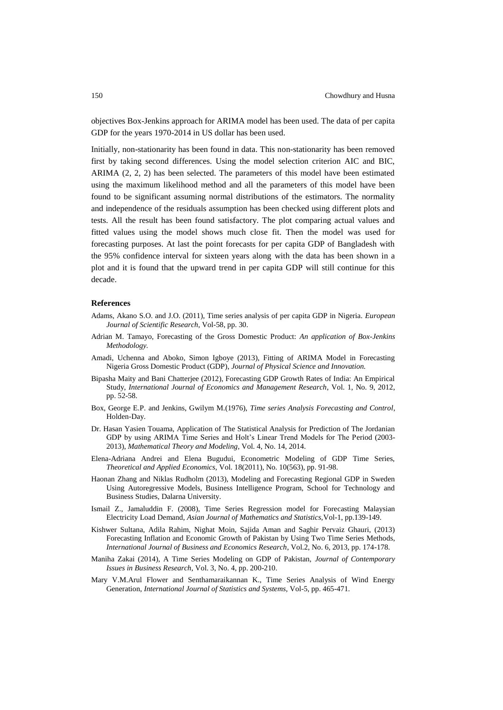objectives Box-Jenkins approach for ARIMA model has been used. The data of per capita GDP for the years 1970-2014 in US dollar has been used.

Initially, non-stationarity has been found in data. This non-stationarity has been removed first by taking second differences. Using the model selection criterion AIC and BIC, ARIMA (2, 2, 2) has been selected. The parameters of this model have been estimated using the maximum likelihood method and all the parameters of this model have been found to be significant assuming normal distributions of the estimators. The normality and independence of the residuals assumption has been checked using different plots and tests. All the result has been found satisfactory. The plot comparing actual values and fitted values using the model shows much close fit. Then the model was used for forecasting purposes. At last the point forecasts for per capita GDP of Bangladesh with the 95% confidence interval for sixteen years along with the data has been shown in a plot and it is found that the upward trend in per capita GDP will still continue for this decade.

#### **References**

- Adams, Akano S.O. and J.O. (2011), Time series analysis of per capita GDP in Nigeria. *European Journal of Scientific Research*, Vol-58, pp. 30.
- Adrian M. Tamayo, Forecasting of the Gross Domestic Product: *An application of Box-Jenkins Methodology.*
- Amadi, Uchenna and Aboko, Simon Igboye (2013), Fitting of ARIMA Model in Forecasting Nigeria Gross Domestic Product (GDP), *Journal of Physical Science and Innovation.*
- Bipasha Maity and Bani Chatterjee (2012), Forecasting GDP Growth Rates of India: An Empirical Study, *International Journal of Economics and Management Research*, Vol. 1, No. 9, 2012, pp. 52-58.
- Box, George E.P. and Jenkins, Gwilym M.(1976), *Time series Analysis Forecasting and Control*, Holden-Day.
- Dr. Hasan Yasien Touama, Application of The Statistical Analysis for Prediction of The Jordanian GDP by using ARIMA Time Series and Holt's Linear Trend Models for The Period (2003- 2013), *Mathematical Theory and Modeling,* Vol. 4, No. 14, 2014.
- Elena-Adriana Andrei and Elena Bugudui, Econometric Modeling of GDP Time Series, *Theoretical and Applied Economics,* Vol. 18(2011), No. 10(563), pp. 91-98.
- Haonan Zhang and Niklas Rudholm (2013), Modeling and Forecasting Regional GDP in Sweden Using Autoregressive Models, Business Intelligence Program, School for Technology and Business Studies, Dalarna University.
- Ismail Z., Jamaluddin F. (2008), Time Series Regression model for Forecasting Malaysian Electricity Load Demand, *Asian Journal of Mathematics and Statistics,*Vol-1, pp.139-149.
- Kishwer Sultana, Adila Rahim, Nighat Moin, Sajida Aman and Saghir Pervaiz Ghauri, (2013) Forecasting Inflation and Economic Growth of Pakistan by Using Two Time Series Methods, *International Journal of Business and Economics Research*, Vol.2, No. 6, 2013, pp. 174-178.
- Maniha Zakai (2014), A Time Series Modeling on GDP of Pakistan, *Journal of Contemporary Issues in Business Research,* Vol. 3, No. 4, pp. 200-210.
- Mary V.M.Arul Flower and Senthamaraikannan K., Time Series Analysis of Wind Energy Generation, *International Journal of Statistics and Systems,* Vol-5, pp. 465-471.